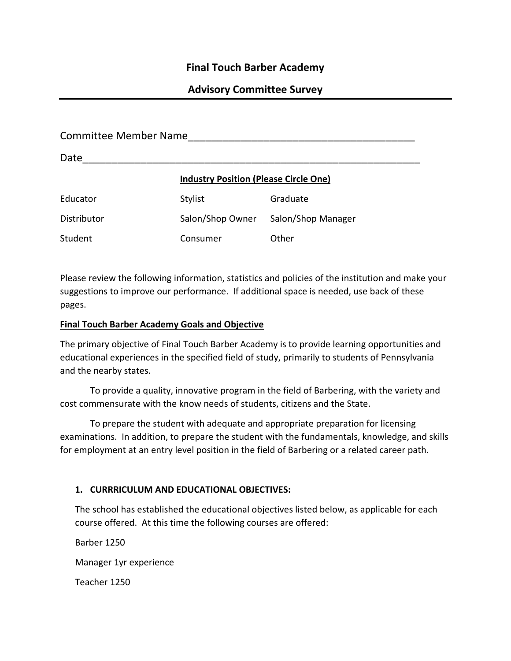# **Final Touch Barber Academy**

# **Advisory Committee Survey**

| <b>Committee Member Name</b> |                                              |                    |  |  |  |
|------------------------------|----------------------------------------------|--------------------|--|--|--|
| Date                         |                                              |                    |  |  |  |
|                              | <b>Industry Position (Please Circle One)</b> |                    |  |  |  |
| Educator                     | Stylist                                      | Graduate           |  |  |  |
| Distributor                  | Salon/Shop Owner                             | Salon/Shop Manager |  |  |  |
| Student                      | Consumer                                     | Other              |  |  |  |

Please review the following information, statistics and policies of the institution and make your suggestions to improve our performance. If additional space is needed, use back of these pages.

#### **Final Touch Barber Academy Goals and Objective**

The primary objective of Final Touch Barber Academy is to provide learning opportunities and educational experiences in the specified field of study, primarily to students of Pennsylvania and the nearby states.

To provide a quality, innovative program in the field of Barbering, with the variety and cost commensurate with the know needs of students, citizens and the State.

To prepare the student with adequate and appropriate preparation for licensing examinations. In addition, to prepare the student with the fundamentals, knowledge, and skills for employment at an entry level position in the field of Barbering or a related career path.

#### **1. CURRRICULUM AND EDUCATIONAL OBJECTIVES:**

The school has established the educational objectives listed below, as applicable for each course offered. At this time the following courses are offered:

Barber 1250

Manager 1yr experience

Teacher 1250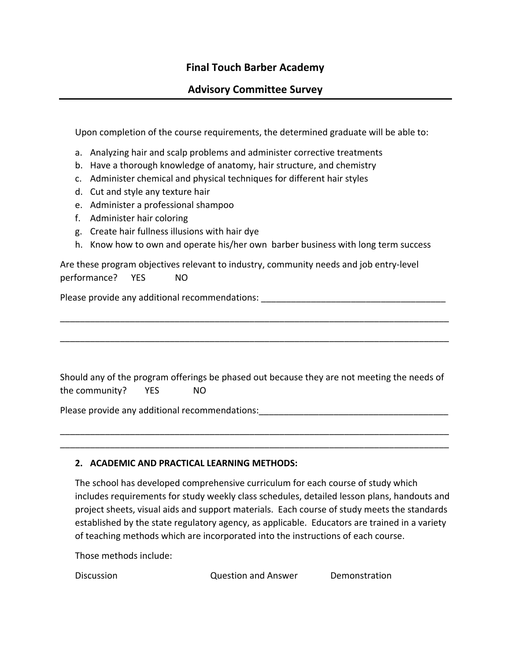# **Final Touch Barber Academy**

### **Advisory Committee Survey**

Upon completion of the course requirements, the determined graduate will be able to:

- a. Analyzing hair and scalp problems and administer corrective treatments
- b. Have a thorough knowledge of anatomy, hair structure, and chemistry
- c. Administer chemical and physical techniques for different hair styles
- d. Cut and style any texture hair
- e. Administer a professional shampoo
- f. Administer hair coloring
- g. Create hair fullness illusions with hair dye
- h. Know how to own and operate his/her own barber business with long term success

Are these program objectives relevant to industry, community needs and job entry-level performance? YES NO

Please provide any additional recommendations: \_\_\_\_\_\_\_\_\_\_\_\_\_\_\_\_\_\_\_\_\_\_\_\_\_\_\_\_\_\_\_\_\_

Should any of the program offerings be phased out because they are not meeting the needs of the community? YES NO

\_\_\_\_\_\_\_\_\_\_\_\_\_\_\_\_\_\_\_\_\_\_\_\_\_\_\_\_\_\_\_\_\_\_\_\_\_\_\_\_\_\_\_\_\_\_\_\_\_\_\_\_\_\_\_\_\_\_\_\_\_\_\_\_\_\_\_\_\_\_\_\_\_\_\_\_\_\_ \_\_\_\_\_\_\_\_\_\_\_\_\_\_\_\_\_\_\_\_\_\_\_\_\_\_\_\_\_\_\_\_\_\_\_\_\_\_\_\_\_\_\_\_\_\_\_\_\_\_\_\_\_\_\_\_\_\_\_\_\_\_\_\_\_\_\_\_\_\_\_\_\_\_\_\_\_\_

\_\_\_\_\_\_\_\_\_\_\_\_\_\_\_\_\_\_\_\_\_\_\_\_\_\_\_\_\_\_\_\_\_\_\_\_\_\_\_\_\_\_\_\_\_\_\_\_\_\_\_\_\_\_\_\_\_\_\_\_\_\_\_\_\_\_\_\_\_\_\_\_\_\_\_\_\_\_

\_\_\_\_\_\_\_\_\_\_\_\_\_\_\_\_\_\_\_\_\_\_\_\_\_\_\_\_\_\_\_\_\_\_\_\_\_\_\_\_\_\_\_\_\_\_\_\_\_\_\_\_\_\_\_\_\_\_\_\_\_\_\_\_\_\_\_\_\_\_\_\_\_\_\_\_\_\_

Please provide any additional recommendations:

#### **2. ACADEMIC AND PRACTICAL LEARNING METHODS:**

The school has developed comprehensive curriculum for each course of study which includes requirements for study weekly class schedules, detailed lesson plans, handouts and project sheets, visual aids and support materials. Each course of study meets the standards established by the state regulatory agency, as applicable. Educators are trained in a variety of teaching methods which are incorporated into the instructions of each course.

Those methods include:

Discussion Question and Answer Demonstration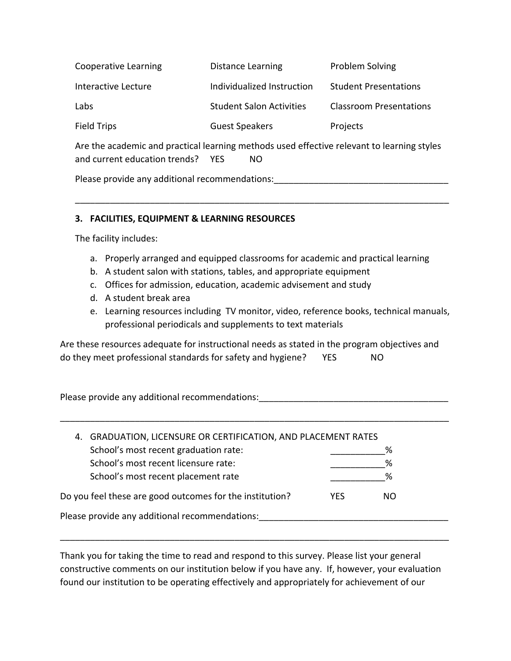| <b>Cooperative Learning</b> | <b>Distance Learning</b>        | Problem Solving                |
|-----------------------------|---------------------------------|--------------------------------|
| Interactive Lecture         | Individualized Instruction      | <b>Student Presentations</b>   |
| Labs                        | <b>Student Salon Activities</b> | <b>Classroom Presentations</b> |
| Field Trips                 | <b>Guest Speakers</b>           | Projects                       |

Are the academic and practical learning methods used effective relevant to learning styles and current education trends? YES NO

\_\_\_\_\_\_\_\_\_\_\_\_\_\_\_\_\_\_\_\_\_\_\_\_\_\_\_\_\_\_\_\_\_\_\_\_\_\_\_\_\_\_\_\_\_\_\_\_\_\_\_\_\_\_\_\_\_\_\_\_\_\_\_\_\_\_\_\_\_\_\_\_\_\_\_

Please provide any additional recommendations:  $\blacksquare$ 

### **3. FACILITIES, EQUIPMENT & LEARNING RESOURCES**

The facility includes:

- a. Properly arranged and equipped classrooms for academic and practical learning
- b. A student salon with stations, tables, and appropriate equipment
- c. Offices for admission, education, academic advisement and study
- d. A student break area
- e. Learning resources including TV monitor, video, reference books, technical manuals, professional periodicals and supplements to text materials

Are these resources adequate for instructional needs as stated in the program objectives and do they meet professional standards for safety and hygiene? YES NO

Please provide any additional recommendations: \_\_\_\_\_\_\_\_\_\_\_\_\_\_\_\_\_\_\_\_\_\_\_\_\_\_\_\_\_\_\_\_\_

| 4. GRADUATION, LICENSURE OR CERTIFICATION, AND PLACEMENT RATES |     |     |  |
|----------------------------------------------------------------|-----|-----|--|
| School's most recent graduation rate:                          |     | ℅   |  |
| School's most recent licensure rate:                           |     | %   |  |
| School's most recent placement rate                            |     | %   |  |
| Do you feel these are good outcomes for the institution?       | YFS | NO. |  |
| Please provide any additional recommendations:                 |     |     |  |
|                                                                |     |     |  |

\_\_\_\_\_\_\_\_\_\_\_\_\_\_\_\_\_\_\_\_\_\_\_\_\_\_\_\_\_\_\_\_\_\_\_\_\_\_\_\_\_\_\_\_\_\_\_\_\_\_\_\_\_\_\_\_\_\_\_\_\_\_\_\_\_\_\_\_\_\_\_\_\_\_\_\_\_\_

Thank you for taking the time to read and respond to this survey. Please list your general constructive comments on our institution below if you have any. If, however, your evaluation found our institution to be operating effectively and appropriately for achievement of our

\_\_\_\_\_\_\_\_\_\_\_\_\_\_\_\_\_\_\_\_\_\_\_\_\_\_\_\_\_\_\_\_\_\_\_\_\_\_\_\_\_\_\_\_\_\_\_\_\_\_\_\_\_\_\_\_\_\_\_\_\_\_\_\_\_\_\_\_\_\_\_\_\_\_\_\_\_\_